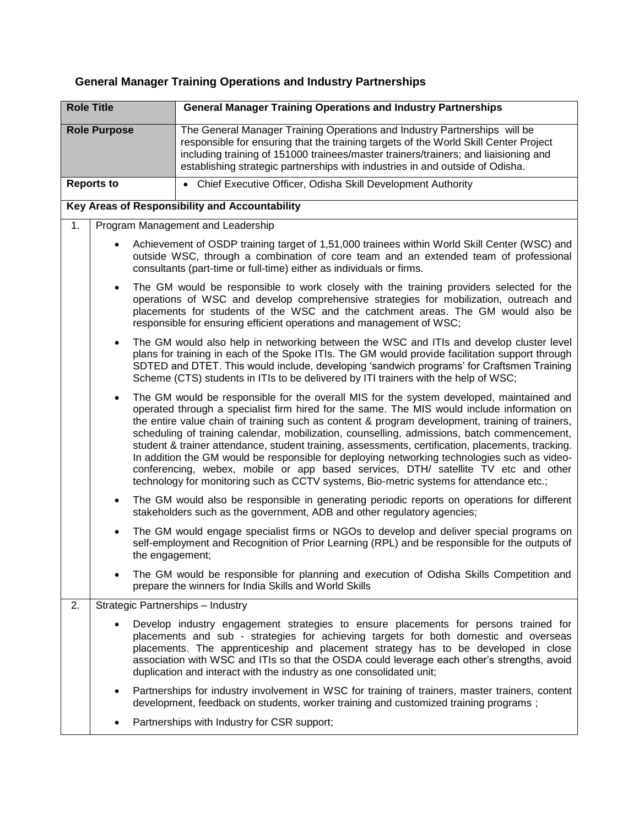## **General Manager Training Operations and Industry Partnerships**

| <b>Role Title</b>    |                                                                                                                                                                                                                                                                                                                                                                                |                                                                                                                                                                                                                                                                                                                                               | <b>General Manager Training Operations and Industry Partnerships</b>                                                                                                                                                                                                                                                                                                                                                                                                                                                                                                                                                                                                                                                                                                            |  |  |  |  |  |
|----------------------|--------------------------------------------------------------------------------------------------------------------------------------------------------------------------------------------------------------------------------------------------------------------------------------------------------------------------------------------------------------------------------|-----------------------------------------------------------------------------------------------------------------------------------------------------------------------------------------------------------------------------------------------------------------------------------------------------------------------------------------------|---------------------------------------------------------------------------------------------------------------------------------------------------------------------------------------------------------------------------------------------------------------------------------------------------------------------------------------------------------------------------------------------------------------------------------------------------------------------------------------------------------------------------------------------------------------------------------------------------------------------------------------------------------------------------------------------------------------------------------------------------------------------------------|--|--|--|--|--|
| <b>Role Purpose</b>  |                                                                                                                                                                                                                                                                                                                                                                                |                                                                                                                                                                                                                                                                                                                                               | The General Manager Training Operations and Industry Partnerships will be<br>responsible for ensuring that the training targets of the World Skill Center Project<br>including training of 151000 trainees/master trainers/trainers; and liaisioning and<br>establishing strategic partnerships with industries in and outside of Odisha.                                                                                                                                                                                                                                                                                                                                                                                                                                       |  |  |  |  |  |
| <b>Reports to</b>    |                                                                                                                                                                                                                                                                                                                                                                                |                                                                                                                                                                                                                                                                                                                                               | • Chief Executive Officer, Odisha Skill Development Authority                                                                                                                                                                                                                                                                                                                                                                                                                                                                                                                                                                                                                                                                                                                   |  |  |  |  |  |
|                      |                                                                                                                                                                                                                                                                                                                                                                                |                                                                                                                                                                                                                                                                                                                                               | Key Areas of Responsibility and Accountability                                                                                                                                                                                                                                                                                                                                                                                                                                                                                                                                                                                                                                                                                                                                  |  |  |  |  |  |
| 1.                   | Program Management and Leadership                                                                                                                                                                                                                                                                                                                                              |                                                                                                                                                                                                                                                                                                                                               |                                                                                                                                                                                                                                                                                                                                                                                                                                                                                                                                                                                                                                                                                                                                                                                 |  |  |  |  |  |
|                      |                                                                                                                                                                                                                                                                                                                                                                                |                                                                                                                                                                                                                                                                                                                                               | Achievement of OSDP training target of 1,51,000 trainees within World Skill Center (WSC) and<br>outside WSC, through a combination of core team and an extended team of professional<br>consultants (part-time or full-time) either as individuals or firms.                                                                                                                                                                                                                                                                                                                                                                                                                                                                                                                    |  |  |  |  |  |
|                      | $\bullet$                                                                                                                                                                                                                                                                                                                                                                      | The GM would be responsible to work closely with the training providers selected for the<br>operations of WSC and develop comprehensive strategies for mobilization, outreach and<br>placements for students of the WSC and the catchment areas. The GM would also be<br>responsible for ensuring efficient operations and management of WSC; |                                                                                                                                                                                                                                                                                                                                                                                                                                                                                                                                                                                                                                                                                                                                                                                 |  |  |  |  |  |
|                      | The GM would also help in networking between the WSC and ITIs and develop cluster level<br>plans for training in each of the Spoke ITIs. The GM would provide facilitation support through<br>SDTED and DTET. This would include, developing 'sandwich programs' for Craftsmen Training<br>Scheme (CTS) students in ITIs to be delivered by ITI trainers with the help of WSC; |                                                                                                                                                                                                                                                                                                                                               |                                                                                                                                                                                                                                                                                                                                                                                                                                                                                                                                                                                                                                                                                                                                                                                 |  |  |  |  |  |
|                      | $\bullet$                                                                                                                                                                                                                                                                                                                                                                      |                                                                                                                                                                                                                                                                                                                                               | The GM would be responsible for the overall MIS for the system developed, maintained and<br>operated through a specialist firm hired for the same. The MIS would include information on<br>the entire value chain of training such as content & program development, training of trainers,<br>scheduling of training calendar, mobilization, counselling, admissions, batch commencement,<br>student & trainer attendance, student training, assessments, certification, placements, tracking.<br>In addition the GM would be responsible for deploying networking technologies such as video-<br>conferencing, webex, mobile or app based services, DTH/ satellite TV etc and other<br>technology for monitoring such as CCTV systems, Bio-metric systems for attendance etc.; |  |  |  |  |  |
| ٠                    |                                                                                                                                                                                                                                                                                                                                                                                |                                                                                                                                                                                                                                                                                                                                               | The GM would also be responsible in generating periodic reports on operations for different<br>stakeholders such as the government, ADB and other regulatory agencies;                                                                                                                                                                                                                                                                                                                                                                                                                                                                                                                                                                                                          |  |  |  |  |  |
| ٠<br>the engagement; |                                                                                                                                                                                                                                                                                                                                                                                |                                                                                                                                                                                                                                                                                                                                               | The GM would engage specialist firms or NGOs to develop and deliver special programs on<br>self-employment and Recognition of Prior Learning (RPL) and be responsible for the outputs of                                                                                                                                                                                                                                                                                                                                                                                                                                                                                                                                                                                        |  |  |  |  |  |
|                      |                                                                                                                                                                                                                                                                                                                                                                                |                                                                                                                                                                                                                                                                                                                                               | The GM would be responsible for planning and execution of Odisha Skills Competition and<br>prepare the winners for India Skills and World Skills                                                                                                                                                                                                                                                                                                                                                                                                                                                                                                                                                                                                                                |  |  |  |  |  |
| 2.                   |                                                                                                                                                                                                                                                                                                                                                                                |                                                                                                                                                                                                                                                                                                                                               | Strategic Partnerships - Industry                                                                                                                                                                                                                                                                                                                                                                                                                                                                                                                                                                                                                                                                                                                                               |  |  |  |  |  |
|                      |                                                                                                                                                                                                                                                                                                                                                                                |                                                                                                                                                                                                                                                                                                                                               | Develop industry engagement strategies to ensure placements for persons trained for<br>placements and sub - strategies for achieving targets for both domestic and overseas<br>placements. The apprenticeship and placement strategy has to be developed in close<br>association with WSC and ITIs so that the OSDA could leverage each other's strengths, avoid<br>duplication and interact with the industry as one consolidated unit;                                                                                                                                                                                                                                                                                                                                        |  |  |  |  |  |
|                      |                                                                                                                                                                                                                                                                                                                                                                                |                                                                                                                                                                                                                                                                                                                                               | Partnerships for industry involvement in WSC for training of trainers, master trainers, content<br>development, feedback on students, worker training and customized training programs;                                                                                                                                                                                                                                                                                                                                                                                                                                                                                                                                                                                         |  |  |  |  |  |
|                      |                                                                                                                                                                                                                                                                                                                                                                                |                                                                                                                                                                                                                                                                                                                                               | Partnerships with Industry for CSR support;                                                                                                                                                                                                                                                                                                                                                                                                                                                                                                                                                                                                                                                                                                                                     |  |  |  |  |  |